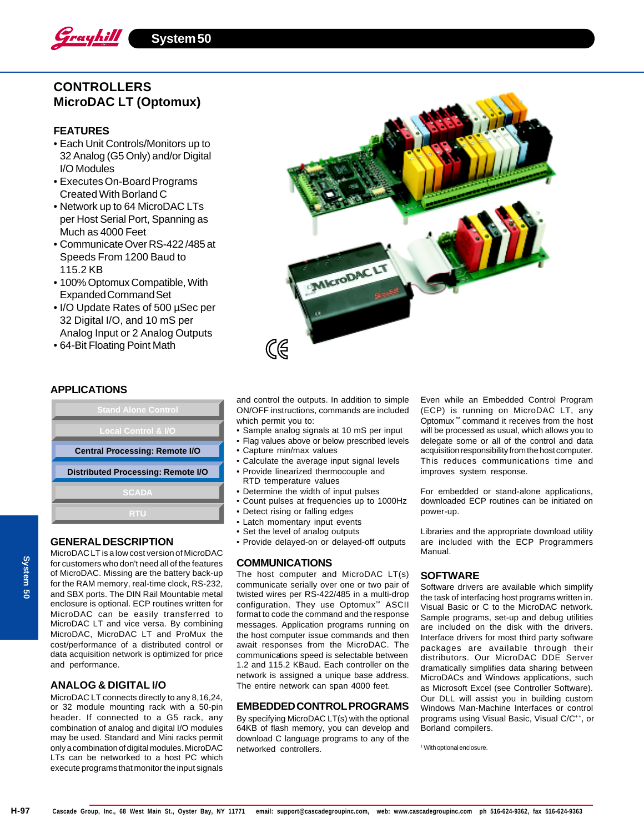

# **CONTROLLERS MicroDAC LT (Optomux)**

## **FEATURES**

- Each Unit Controls/Monitors up to 32 Analog (G5 Only) and/or Digital I/O Modules
- Executes On-Board Programs Created With Borland C
- Network up to 64 MicroDAC LTs per Host Serial Port, Spanning as Much as 4000 Feet
- Communicate Over RS-422 /485 at Speeds From 1200 Baud to 115.2 KB
- 100% Optomux Compatible, With Expanded Command Set
- I/O Update Rates of 500 µSec per 32 Digital I/O, and 10 mS per Analog Input or 2 Analog Outputs
- 64-Bit Floating Point Math



**APPLICATIONS**

| <b>Stand Alone Control</b>                |  |  |  |
|-------------------------------------------|--|--|--|
| <b>Local Control &amp; I/O</b>            |  |  |  |
| <b>Central Processing: Remote I/O</b>     |  |  |  |
| <b>Distributed Processing: Remote I/O</b> |  |  |  |
|                                           |  |  |  |
| <b>SCADA</b>                              |  |  |  |

#### **GENERAL DESCRIPTION**

MicroDAC LT is a low cost version of MicroDAC for customers who don't need all of the features of MicroDAC. Missing are the battery back-up for the RAM memory, real-time clock, RS-232, and SBX ports. The DIN Rail Mountable metal enclosure is optional. ECP routines written for MicroDAC can be easily transferred to MicroDAC LT and vice versa. By combining MicroDAC, MicroDAC LT and ProMux the cost/performance of a distributed control or data acquisition network is optimized for price and performance.

## **ANALOG & DIGITAL I/O**

MicroDAC LT connects directly to any 8,16,24, or 32 module mounting rack with a 50-pin header. If connected to a G5 rack, any combination of analog and digital I/O modules may be used. Standard and Mini racks permit only a combination of digital modules. MicroDAC LTs can be networked to a host PC which execute programs that monitor the input signals

and control the outputs. In addition to simple ON/OFF instructions, commands are included which permit you to:

- Sample analog signals at 10 mS per input
- Flag values above or below prescribed levels
- Capture min/max values
- Calculate the average input signal levels • Provide linearized thermocouple and
- RTD temperature values • Determine the width of input pulses
- Count pulses at frequencies up to 1000Hz
- Detect rising or falling edges
- Latch momentary input events
- Set the level of analog outputs
- Provide delayed-on or delayed-off outputs

#### **COMMUNICATIONS**

The host computer and MicroDAC LT(s) communicate serially over one or two pair of twisted wires per RS-422/485 in a multi-drop configuration. They use Optomux™ ASCII format to code the command and the response messages. Application programs running on the host computer issue commands and then await responses from the MicroDAC. The communications speed is selectable between 1.2 and 115.2 KBaud. Each controller on the network is assigned a unique base address. The entire network can span 4000 feet.

#### **EMBEDDED CONTROL PROGRAMS**

By specifying MicroDAC LT(s) with the optional 64KB of flash memory, you can develop and download C language programs to any of the networked controllers.

Even while an Embedded Control Program (ECP) is running on MicroDAC LT, any Optomux ™ command it receives from the host will be processed as usual, which allows you to delegate some or all of the control and data acquisition responsibility from the host computer. This reduces communications time and improves system response.

For embedded or stand-alone applications, downloaded ECP routines can be initiated on power-up.

Libraries and the appropriate download utility are included with the ECP Programmers Manual.

#### **SOFTWARE**

Software drivers are available which simplify the task of interfacing host programs written in. Visual Basic or C to the MicroDAC network. Sample programs, set-up and debug utilities are included on the disk with the drivers. Interface drivers for most third party software packages are available through their distributors. Our MicroDAC DDE Server dramatically simplifies data sharing between MicroDACs and Windows applications, such as Microsoft Excel (see Controller Software). Our DLL will assist you in building custom Windows Man-Machine Interfaces or control programs using Visual Basic, Visual C/C++, or Borland compilers.

1 With optional enclosure.